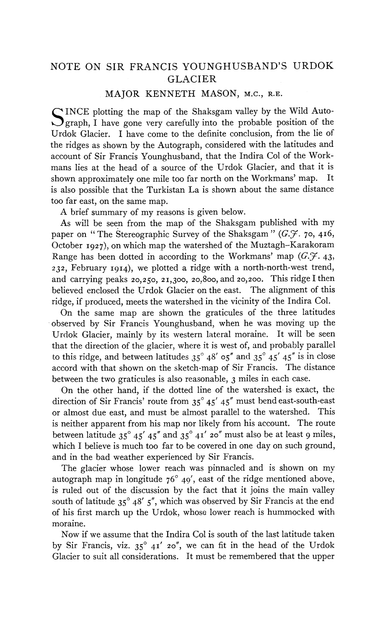## MAJOR KENNETH MASON, **M.c., R.E.**

S INCE plotting the map of the Shaksgam valley by the Wild Auto-<br>graph, I have gone very carefully into the probable position of the<br>state of the line of Urdok Glacier. I have come to the definite conclusion, from the lie of the ridges as shown by the Autograph, considered with the latitudes and account of Sir Francis Younghusband, that the Indira Col of the Workmans lies at the head of a source of the Urdok Glacier, and that it is shown approximately one mile too far north on the Workmans' map. It is also possible that the Turkistan La is shown about the same distance too far east, on the same map.

A brief summary of my reasons is given below.

As will be seen from the map of the Shaksgam published with my paper on "The Stereographic Survey of the Shaksgam" (G.F. 70, 416, October 1g27), on which map the watershed of the Muztagh-Karakoram Range has been dotted in according to the Workmans' map  $(G, \mathcal{F}, 43, )$  $232,$  February 1914), we plotted a ridge with a north-north-west trend, and carrying peaks zo,z50, 21,300, 20,800, and 20,200. This ridge I then believed enclosed the Urdok Glacier on the east. The alignment of this ridge, if produced, meets the watershed in the vicinity of the Indira Col.

On the same map are shown the graticules of the three latitudes observed by Sir Francis Younghusband, when he was moving up the Urdok Glacier, mainly by its western lateral moraine. It will be seen that the direction of the glacier, where it is west of, and probably parallel to this ridge, and between latitudes  $35^{\circ}$  48'  $05''$  and  $35^{\circ}$  45' 45" is in close accord with that shown on the sketch-map of Sir Francis. The distance between the two graticules is also reasonable, 3 miles in each case.

On the other hand, if the dotted line of the watershed is exact, the direction of Sir Francis' route from  $35^{\circ}$   $45'$   $45''$  must bend east-south-east or almost due east, and must be almost parallel to the watershed. This is neither apparent from his map nor likely from his account. The route between latitude  $35^{\circ}$  45'  $45''$  and  $35^{\circ}$  41' 20" must also be at least 9 miles, which I believe is much too far to be covered in one day on such ground, and in the bad weather experienced by Sir Francis.

The glacier whose lower reach was pinnacled and is shown on my autograph map in longitude  $76^{\circ}$  49', east of the ridge mentioned above, is ruled out of the discussion by the fact that it joins the main valley south of latitude 35" 48' *5",* which was observed by Sir Francis at the end of his first march up the Urdok, whose lower reach is hummocked with moraine.

Now if we assume that the Indira Col is south of the last latitude taken by Sir Francis, viz.  $35^{\circ}$  41' 20", we can fit in the head of the Urdok Glacier to suit all considerations. It must be remembered that the upper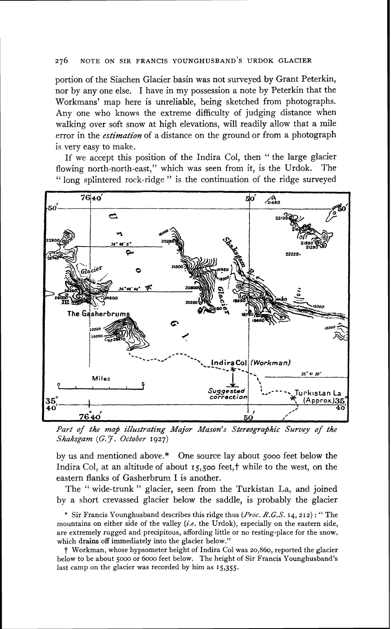## NOTE ON SIR FRANCIS YOUNGHUSBAND'S URDOK GLACIER 276

portion of the Siachen Glacier basin was not surveyed by Grant Peterkin, nor by any one else. I have in my possession a note by Peterkin that the Workmans' map here is unreliable: being sketched from photographs. Any one who knows the extreme difficulty of judging distance when walking over soft snow at high elevations, will readily allow that a mile error in the *estimation* of a distance on the ground or from a photograph is very easy to make.

If we accept this position of the Indira Col, then " the large glacier<br>wing north-north-east." which was seen from it, is the Urdok. The flowing north-north-east," which was seen from it, is the Urdok. " long splintered rock-ridge " is the continuation of the ridge surveyed



Part of the map illustrating Major Mason's Stereographic Survey of the *Shksgam* (G. **J.** *October* **1927)** 

by us and mentioned above.\* One source lay about 5000 feet below the Indira Col, at an altitude of about  $15,500$  feet, $\dagger$  while to the west, on the eastern flanks of Gasherbrum I is another.

The " wide-trunk " glacier, seen from the Turkistan La, and joined by a short crevassed glacier below the saddle, is probably the glacier

\* Sir Francis Younghusband describes this ridge thus *(Proc.* **R.G.S.** 14,212) : " The mountains on either side of the valley **(i.e.** the Urdok), especially on the eastern side, are extremely rugged and precipitous, affording little or no resting-place for the snow, which drains off immediately into the glacier below."

t Workman, whose hypsometer height of Indira Col was **20,860,** reported the glacier below to be about 5000 or 6000 feet below. The height of Sir Francis Younghusband's last camp on the glacier was recorded by him as 15,355.